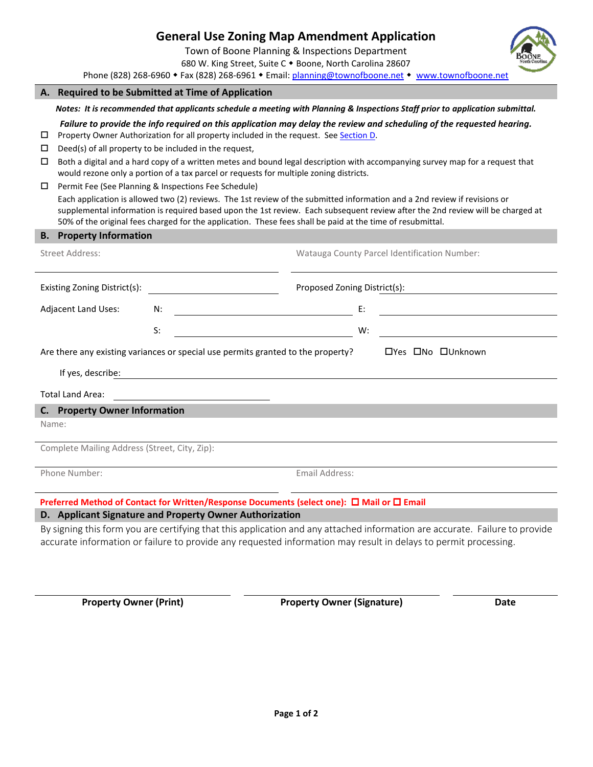|                                                                                                       |                                                                                                                                                                                                                                                                                                                                                                                                                                                                                                                                                                                                                                                                                                                                                                                                                                                                                                                                                                             | <b>General Use Zoning Map Amendment Application</b><br>Town of Boone Planning & Inspections Department<br>680 W. King Street, Suite C . Boone, North Carolina 28607<br>Phone (828) 268-6960 • Fax (828) 268-6961 • Email: planning@townofboone.net • www.townofboone.net |                                              |                                                                                                                             |  |  |  |  |
|-------------------------------------------------------------------------------------------------------|-----------------------------------------------------------------------------------------------------------------------------------------------------------------------------------------------------------------------------------------------------------------------------------------------------------------------------------------------------------------------------------------------------------------------------------------------------------------------------------------------------------------------------------------------------------------------------------------------------------------------------------------------------------------------------------------------------------------------------------------------------------------------------------------------------------------------------------------------------------------------------------------------------------------------------------------------------------------------------|--------------------------------------------------------------------------------------------------------------------------------------------------------------------------------------------------------------------------------------------------------------------------|----------------------------------------------|-----------------------------------------------------------------------------------------------------------------------------|--|--|--|--|
|                                                                                                       |                                                                                                                                                                                                                                                                                                                                                                                                                                                                                                                                                                                                                                                                                                                                                                                                                                                                                                                                                                             | A. Required to be Submitted at Time of Application                                                                                                                                                                                                                       |                                              |                                                                                                                             |  |  |  |  |
|                                                                                                       | Notes: It is recommended that applicants schedule a meeting with Planning & Inspections Staff prior to application submittal.                                                                                                                                                                                                                                                                                                                                                                                                                                                                                                                                                                                                                                                                                                                                                                                                                                               |                                                                                                                                                                                                                                                                          |                                              |                                                                                                                             |  |  |  |  |
| □<br>□<br>□<br>□                                                                                      | Failure to provide the info required on this application may delay the review and scheduling of the requested hearing.<br>Property Owner Authorization for all property included in the request. See Section D.<br>Deed(s) of all property to be included in the request,<br>Both a digital and a hard copy of a written metes and bound legal description with accompanying survey map for a request that<br>would rezone only a portion of a tax parcel or requests for multiple zoning districts.<br>Permit Fee (See Planning & Inspections Fee Schedule)<br>Each application is allowed two (2) reviews. The 1st review of the submitted information and a 2nd review if revisions or<br>supplemental information is required based upon the 1st review. Each subsequent review after the 2nd review will be charged at<br>50% of the original fees charged for the application. These fees shall be paid at the time of resubmittal.<br><b>B.</b> Property Information |                                                                                                                                                                                                                                                                          |                                              |                                                                                                                             |  |  |  |  |
| <b>Street Address:</b>                                                                                |                                                                                                                                                                                                                                                                                                                                                                                                                                                                                                                                                                                                                                                                                                                                                                                                                                                                                                                                                                             |                                                                                                                                                                                                                                                                          | Watauga County Parcel Identification Number: |                                                                                                                             |  |  |  |  |
| Existing Zoning District(s):                                                                          |                                                                                                                                                                                                                                                                                                                                                                                                                                                                                                                                                                                                                                                                                                                                                                                                                                                                                                                                                                             |                                                                                                                                                                                                                                                                          | Proposed Zoning District(s):                 |                                                                                                                             |  |  |  |  |
|                                                                                                       |                                                                                                                                                                                                                                                                                                                                                                                                                                                                                                                                                                                                                                                                                                                                                                                                                                                                                                                                                                             |                                                                                                                                                                                                                                                                          |                                              |                                                                                                                             |  |  |  |  |
| Adjacent Land Uses:                                                                                   |                                                                                                                                                                                                                                                                                                                                                                                                                                                                                                                                                                                                                                                                                                                                                                                                                                                                                                                                                                             | <u> 1989 - Johann Barbara, martxa amerikan per</u><br>N:                                                                                                                                                                                                                 | E:                                           |                                                                                                                             |  |  |  |  |
|                                                                                                       |                                                                                                                                                                                                                                                                                                                                                                                                                                                                                                                                                                                                                                                                                                                                                                                                                                                                                                                                                                             | S:                                                                                                                                                                                                                                                                       | W:                                           |                                                                                                                             |  |  |  |  |
| □Yes □No □Unknown<br>Are there any existing variances or special use permits granted to the property? |                                                                                                                                                                                                                                                                                                                                                                                                                                                                                                                                                                                                                                                                                                                                                                                                                                                                                                                                                                             |                                                                                                                                                                                                                                                                          |                                              |                                                                                                                             |  |  |  |  |
| If yes, describe:                                                                                     |                                                                                                                                                                                                                                                                                                                                                                                                                                                                                                                                                                                                                                                                                                                                                                                                                                                                                                                                                                             |                                                                                                                                                                                                                                                                          |                                              |                                                                                                                             |  |  |  |  |
|                                                                                                       | <b>Total Land Area:</b>                                                                                                                                                                                                                                                                                                                                                                                                                                                                                                                                                                                                                                                                                                                                                                                                                                                                                                                                                     |                                                                                                                                                                                                                                                                          |                                              |                                                                                                                             |  |  |  |  |
|                                                                                                       | C. Property Owner Information                                                                                                                                                                                                                                                                                                                                                                                                                                                                                                                                                                                                                                                                                                                                                                                                                                                                                                                                               |                                                                                                                                                                                                                                                                          |                                              |                                                                                                                             |  |  |  |  |
|                                                                                                       | Name:                                                                                                                                                                                                                                                                                                                                                                                                                                                                                                                                                                                                                                                                                                                                                                                                                                                                                                                                                                       |                                                                                                                                                                                                                                                                          |                                              |                                                                                                                             |  |  |  |  |
|                                                                                                       | Complete Mailing Address (Street, City, Zip):                                                                                                                                                                                                                                                                                                                                                                                                                                                                                                                                                                                                                                                                                                                                                                                                                                                                                                                               |                                                                                                                                                                                                                                                                          |                                              |                                                                                                                             |  |  |  |  |
| Phone Number:                                                                                         |                                                                                                                                                                                                                                                                                                                                                                                                                                                                                                                                                                                                                                                                                                                                                                                                                                                                                                                                                                             |                                                                                                                                                                                                                                                                          | Email Address:                               |                                                                                                                             |  |  |  |  |
|                                                                                                       |                                                                                                                                                                                                                                                                                                                                                                                                                                                                                                                                                                                                                                                                                                                                                                                                                                                                                                                                                                             | Preferred Method of Contact for Written/Response Documents (select one): □ Mail or □ Email                                                                                                                                                                               |                                              |                                                                                                                             |  |  |  |  |
|                                                                                                       |                                                                                                                                                                                                                                                                                                                                                                                                                                                                                                                                                                                                                                                                                                                                                                                                                                                                                                                                                                             | D. Applicant Signature and Property Owner Authorization                                                                                                                                                                                                                  |                                              |                                                                                                                             |  |  |  |  |
|                                                                                                       |                                                                                                                                                                                                                                                                                                                                                                                                                                                                                                                                                                                                                                                                                                                                                                                                                                                                                                                                                                             | accurate information or failure to provide any requested information may result in delays to permit processing.                                                                                                                                                          |                                              | By signing this form you are certifying that this application and any attached information are accurate. Failure to provide |  |  |  |  |

<span id="page-0-0"></span>**Property Owner (Print) Property Owner (Signature) Date**